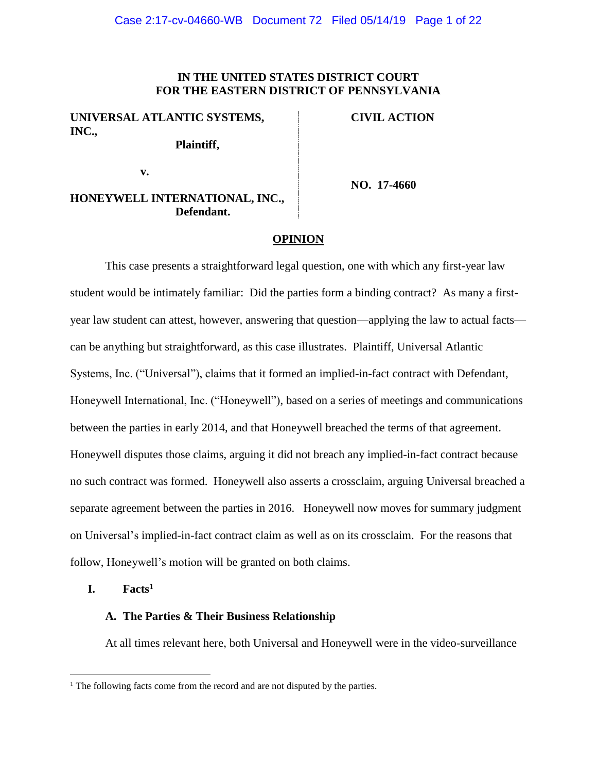## **IN THE UNITED STATES DISTRICT COURT FOR THE EASTERN DISTRICT OF PENNSYLVANIA**

# **UNIVERSAL ATLANTIC SYSTEMS, INC.,**

**Plaintiff,**

**CIVIL ACTION**

**v.**

**NO. 17-4660**

## **HONEYWELL INTERNATIONAL, INC., Defendant.**

#### **OPINION**

This case presents a straightforward legal question, one with which any first-year law student would be intimately familiar: Did the parties form a binding contract? As many a firstyear law student can attest, however, answering that question—applying the law to actual facts can be anything but straightforward, as this case illustrates. Plaintiff, Universal Atlantic Systems, Inc. ("Universal"), claims that it formed an implied-in-fact contract with Defendant, Honeywell International, Inc. ("Honeywell"), based on a series of meetings and communications between the parties in early 2014, and that Honeywell breached the terms of that agreement. Honeywell disputes those claims, arguing it did not breach any implied-in-fact contract because no such contract was formed. Honeywell also asserts a crossclaim, arguing Universal breached a separate agreement between the parties in 2016. Honeywell now moves for summary judgment on Universal's implied-in-fact contract claim as well as on its crossclaim. For the reasons that follow, Honeywell's motion will be granted on both claims.

**I. Facts 1**

 $\overline{a}$ 

#### **A. The Parties & Their Business Relationship**

At all times relevant here, both Universal and Honeywell were in the video-surveillance

<sup>&</sup>lt;sup>1</sup> The following facts come from the record and are not disputed by the parties.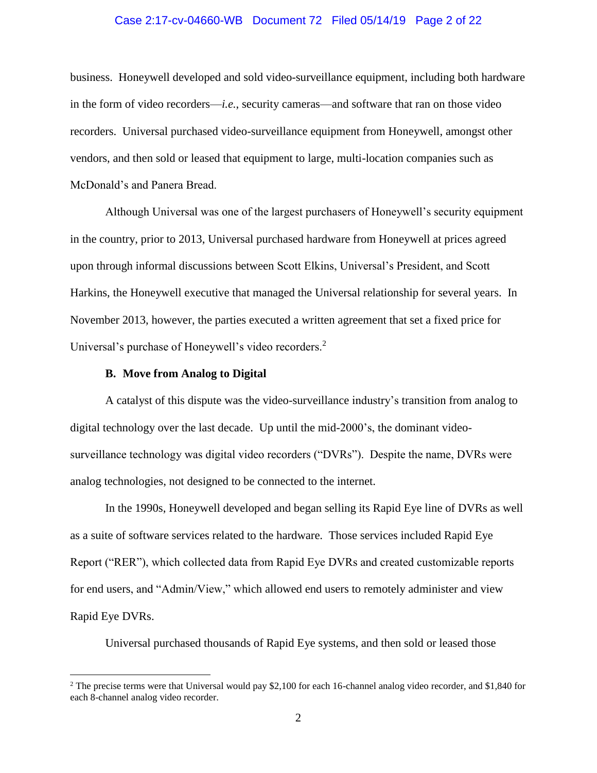# Case 2:17-cv-04660-WB Document 72 Filed 05/14/19 Page 2 of 22

business. Honeywell developed and sold video-surveillance equipment, including both hardware in the form of video recorders—*i.e.*, security cameras—and software that ran on those video recorders. Universal purchased video-surveillance equipment from Honeywell, amongst other vendors, and then sold or leased that equipment to large, multi-location companies such as McDonald's and Panera Bread.

Although Universal was one of the largest purchasers of Honeywell's security equipment in the country, prior to 2013, Universal purchased hardware from Honeywell at prices agreed upon through informal discussions between Scott Elkins, Universal's President, and Scott Harkins, the Honeywell executive that managed the Universal relationship for several years. In November 2013, however, the parties executed a written agreement that set a fixed price for Universal's purchase of Honeywell's video recorders.<sup>2</sup>

## **B. Move from Analog to Digital**

 $\overline{a}$ 

A catalyst of this dispute was the video-surveillance industry's transition from analog to digital technology over the last decade. Up until the mid-2000's, the dominant videosurveillance technology was digital video recorders ("DVRs"). Despite the name, DVRs were analog technologies, not designed to be connected to the internet.

In the 1990s, Honeywell developed and began selling its Rapid Eye line of DVRs as well as a suite of software services related to the hardware. Those services included Rapid Eye Report ("RER"), which collected data from Rapid Eye DVRs and created customizable reports for end users, and "Admin/View," which allowed end users to remotely administer and view Rapid Eye DVRs.

Universal purchased thousands of Rapid Eye systems, and then sold or leased those

<sup>&</sup>lt;sup>2</sup> The precise terms were that Universal would pay \$2,100 for each 16-channel analog video recorder, and \$1,840 for each 8-channel analog video recorder.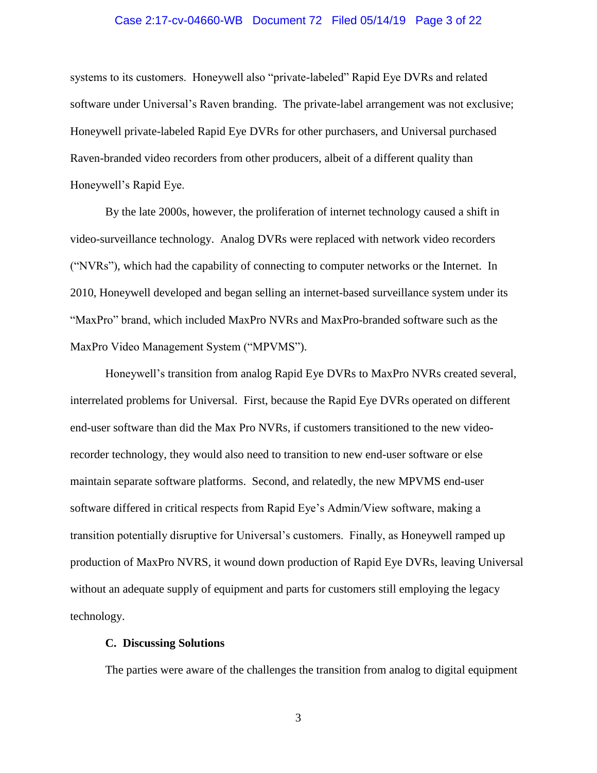## Case 2:17-cv-04660-WB Document 72 Filed 05/14/19 Page 3 of 22

systems to its customers. Honeywell also "private-labeled" Rapid Eye DVRs and related software under Universal's Raven branding. The private-label arrangement was not exclusive; Honeywell private-labeled Rapid Eye DVRs for other purchasers, and Universal purchased Raven-branded video recorders from other producers, albeit of a different quality than Honeywell's Rapid Eye.

By the late 2000s, however, the proliferation of internet technology caused a shift in video-surveillance technology. Analog DVRs were replaced with network video recorders ("NVRs"), which had the capability of connecting to computer networks or the Internet. In 2010, Honeywell developed and began selling an internet-based surveillance system under its "MaxPro" brand, which included MaxPro NVRs and MaxPro-branded software such as the MaxPro Video Management System ("MPVMS").

Honeywell's transition from analog Rapid Eye DVRs to MaxPro NVRs created several, interrelated problems for Universal. First, because the Rapid Eye DVRs operated on different end-user software than did the Max Pro NVRs, if customers transitioned to the new videorecorder technology, they would also need to transition to new end-user software or else maintain separate software platforms. Second, and relatedly, the new MPVMS end-user software differed in critical respects from Rapid Eye's Admin/View software, making a transition potentially disruptive for Universal's customers. Finally, as Honeywell ramped up production of MaxPro NVRS, it wound down production of Rapid Eye DVRs, leaving Universal without an adequate supply of equipment and parts for customers still employing the legacy technology.

## **C. Discussing Solutions**

The parties were aware of the challenges the transition from analog to digital equipment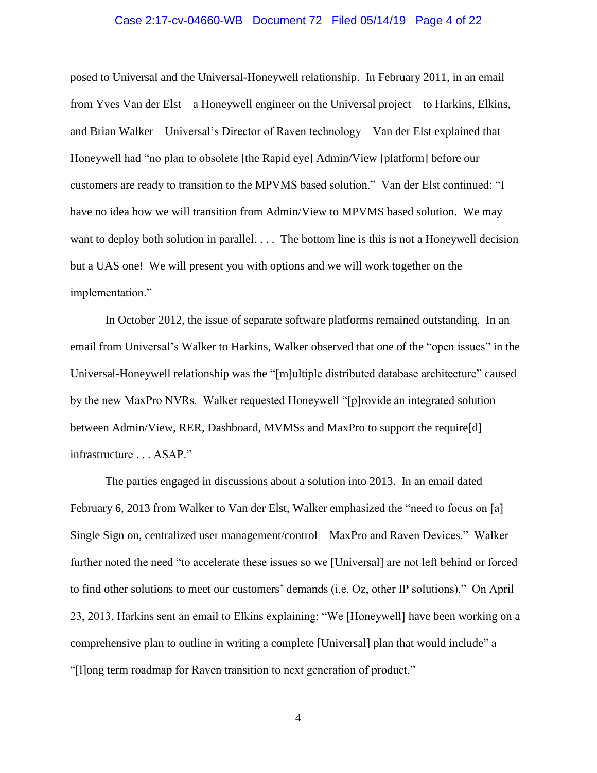## Case 2:17-cv-04660-WB Document 72 Filed 05/14/19 Page 4 of 22

posed to Universal and the Universal-Honeywell relationship. In February 2011, in an email from Yves Van der Elst—a Honeywell engineer on the Universal project—to Harkins, Elkins, and Brian Walker—Universal's Director of Raven technology—Van der Elst explained that Honeywell had "no plan to obsolete [the Rapid eye] Admin/View [platform] before our customers are ready to transition to the MPVMS based solution." Van der Elst continued: "I have no idea how we will transition from Admin/View to MPVMS based solution. We may want to deploy both solution in parallel. . . . The bottom line is this is not a Honeywell decision but a UAS one! We will present you with options and we will work together on the implementation."

In October 2012, the issue of separate software platforms remained outstanding. In an email from Universal's Walker to Harkins, Walker observed that one of the "open issues" in the Universal-Honeywell relationship was the "[m]ultiple distributed database architecture" caused by the new MaxPro NVRs. Walker requested Honeywell "[p]rovide an integrated solution between Admin/View, RER, Dashboard, MVMSs and MaxPro to support the require[d] infrastructure . . . ASAP."

The parties engaged in discussions about a solution into 2013. In an email dated February 6, 2013 from Walker to Van der Elst, Walker emphasized the "need to focus on [a] Single Sign on, centralized user management/control—MaxPro and Raven Devices." Walker further noted the need "to accelerate these issues so we [Universal] are not left behind or forced to find other solutions to meet our customers' demands (i.e. Oz, other IP solutions)." On April 23, 2013, Harkins sent an email to Elkins explaining: "We [Honeywell] have been working on a comprehensive plan to outline in writing a complete [Universal] plan that would include" a "[l]ong term roadmap for Raven transition to next generation of product."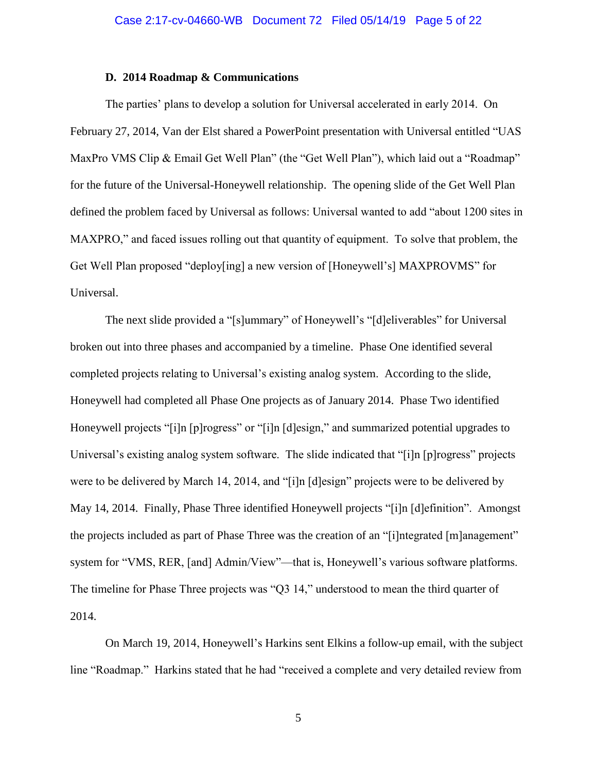## **D. 2014 Roadmap & Communications**

The parties' plans to develop a solution for Universal accelerated in early 2014. On February 27, 2014, Van der Elst shared a PowerPoint presentation with Universal entitled "UAS MaxPro VMS Clip & Email Get Well Plan" (the "Get Well Plan"), which laid out a "Roadmap" for the future of the Universal-Honeywell relationship. The opening slide of the Get Well Plan defined the problem faced by Universal as follows: Universal wanted to add "about 1200 sites in MAXPRO," and faced issues rolling out that quantity of equipment. To solve that problem, the Get Well Plan proposed "deploy[ing] a new version of [Honeywell's] MAXPROVMS" for Universal.

The next slide provided a "[s]ummary" of Honeywell's "[d]eliverables" for Universal broken out into three phases and accompanied by a timeline. Phase One identified several completed projects relating to Universal's existing analog system. According to the slide, Honeywell had completed all Phase One projects as of January 2014. Phase Two identified Honeywell projects "[i]n [p]rogress" or "[i]n [d]esign," and summarized potential upgrades to Universal's existing analog system software. The slide indicated that "[i]n [p]rogress" projects were to be delivered by March 14, 2014, and "[i]n [d]esign" projects were to be delivered by May 14, 2014. Finally, Phase Three identified Honeywell projects "[i]n [d]efinition". Amongst the projects included as part of Phase Three was the creation of an "[i]ntegrated [m]anagement" system for "VMS, RER, [and] Admin/View"—that is, Honeywell's various software platforms. The timeline for Phase Three projects was "Q3 14," understood to mean the third quarter of 2014.

On March 19, 2014, Honeywell's Harkins sent Elkins a follow-up email, with the subject line "Roadmap." Harkins stated that he had "received a complete and very detailed review from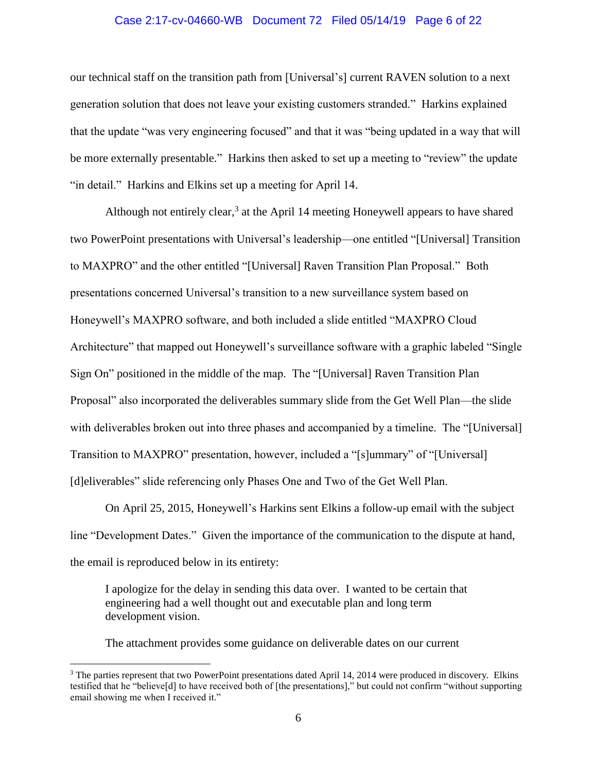## Case 2:17-cv-04660-WB Document 72 Filed 05/14/19 Page 6 of 22

our technical staff on the transition path from [Universal's] current RAVEN solution to a next generation solution that does not leave your existing customers stranded." Harkins explained that the update "was very engineering focused" and that it was "being updated in a way that will be more externally presentable." Harkins then asked to set up a meeting to "review" the update "in detail." Harkins and Elkins set up a meeting for April 14.

Although not entirely clear, $3$  at the April 14 meeting Honeywell appears to have shared two PowerPoint presentations with Universal's leadership—one entitled "[Universal] Transition to MAXPRO" and the other entitled "[Universal] Raven Transition Plan Proposal." Both presentations concerned Universal's transition to a new surveillance system based on Honeywell's MAXPRO software, and both included a slide entitled "MAXPRO Cloud Architecture" that mapped out Honeywell's surveillance software with a graphic labeled "Single Sign On" positioned in the middle of the map. The "[Universal] Raven Transition Plan Proposal" also incorporated the deliverables summary slide from the Get Well Plan—the slide with deliverables broken out into three phases and accompanied by a timeline. The "[Universal] Transition to MAXPRO" presentation, however, included a "[s]ummary" of "[Universal] [d]eliverables" slide referencing only Phases One and Two of the Get Well Plan.

On April 25, 2015, Honeywell's Harkins sent Elkins a follow-up email with the subject line "Development Dates." Given the importance of the communication to the dispute at hand, the email is reproduced below in its entirety:

I apologize for the delay in sending this data over. I wanted to be certain that engineering had a well thought out and executable plan and long term development vision.

The attachment provides some guidance on deliverable dates on our current

 $\overline{a}$ 

<sup>&</sup>lt;sup>3</sup> The parties represent that two PowerPoint presentations dated April 14, 2014 were produced in discovery. Elkins testified that he "believe[d] to have received both of [the presentations]," but could not confirm "without supporting email showing me when I received it."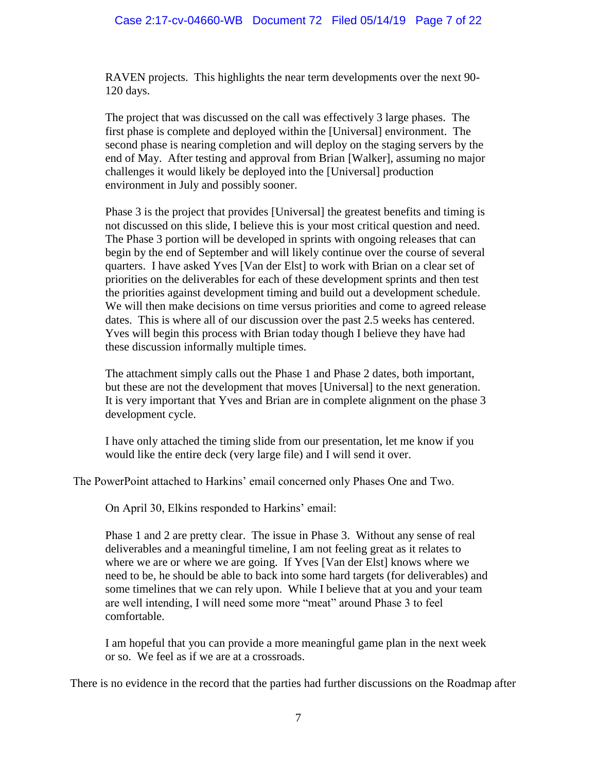RAVEN projects. This highlights the near term developments over the next 90- 120 days.

The project that was discussed on the call was effectively 3 large phases. The first phase is complete and deployed within the [Universal] environment. The second phase is nearing completion and will deploy on the staging servers by the end of May. After testing and approval from Brian [Walker], assuming no major challenges it would likely be deployed into the [Universal] production environment in July and possibly sooner.

Phase 3 is the project that provides [Universal] the greatest benefits and timing is not discussed on this slide, I believe this is your most critical question and need. The Phase 3 portion will be developed in sprints with ongoing releases that can begin by the end of September and will likely continue over the course of several quarters. I have asked Yves [Van der Elst] to work with Brian on a clear set of priorities on the deliverables for each of these development sprints and then test the priorities against development timing and build out a development schedule. We will then make decisions on time versus priorities and come to agreed release dates. This is where all of our discussion over the past 2.5 weeks has centered. Yves will begin this process with Brian today though I believe they have had these discussion informally multiple times.

The attachment simply calls out the Phase 1 and Phase 2 dates, both important, but these are not the development that moves [Universal] to the next generation. It is very important that Yves and Brian are in complete alignment on the phase 3 development cycle.

I have only attached the timing slide from our presentation, let me know if you would like the entire deck (very large file) and I will send it over.

The PowerPoint attached to Harkins' email concerned only Phases One and Two.

On April 30, Elkins responded to Harkins' email:

Phase 1 and 2 are pretty clear. The issue in Phase 3. Without any sense of real deliverables and a meaningful timeline, I am not feeling great as it relates to where we are or where we are going. If Yves [Van der Elst] knows where we need to be, he should be able to back into some hard targets (for deliverables) and some timelines that we can rely upon. While I believe that at you and your team are well intending, I will need some more "meat" around Phase 3 to feel comfortable.

I am hopeful that you can provide a more meaningful game plan in the next week or so. We feel as if we are at a crossroads.

There is no evidence in the record that the parties had further discussions on the Roadmap after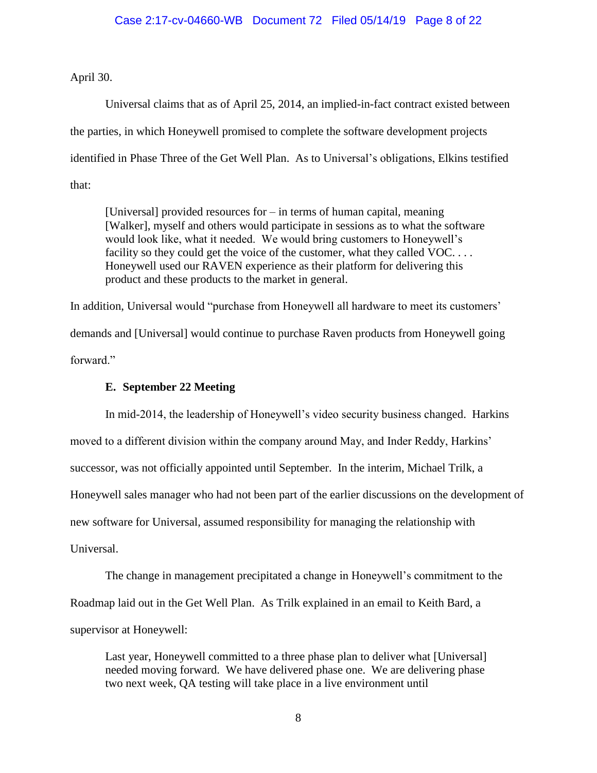April 30.

Universal claims that as of April 25, 2014, an implied-in-fact contract existed between the parties, in which Honeywell promised to complete the software development projects identified in Phase Three of the Get Well Plan. As to Universal's obligations, Elkins testified that:

[Universal] provided resources for – in terms of human capital, meaning [Walker], myself and others would participate in sessions as to what the software would look like, what it needed. We would bring customers to Honeywell's facility so they could get the voice of the customer, what they called VOC.... Honeywell used our RAVEN experience as their platform for delivering this product and these products to the market in general.

In addition, Universal would "purchase from Honeywell all hardware to meet its customers' demands and [Universal] would continue to purchase Raven products from Honeywell going forward."

## **E. September 22 Meeting**

In mid-2014, the leadership of Honeywell's video security business changed. Harkins moved to a different division within the company around May, and Inder Reddy, Harkins' successor, was not officially appointed until September. In the interim, Michael Trilk, a Honeywell sales manager who had not been part of the earlier discussions on the development of new software for Universal, assumed responsibility for managing the relationship with Universal.

The change in management precipitated a change in Honeywell's commitment to the Roadmap laid out in the Get Well Plan. As Trilk explained in an email to Keith Bard, a supervisor at Honeywell:

Last year, Honeywell committed to a three phase plan to deliver what [Universal] needed moving forward. We have delivered phase one. We are delivering phase two next week, QA testing will take place in a live environment until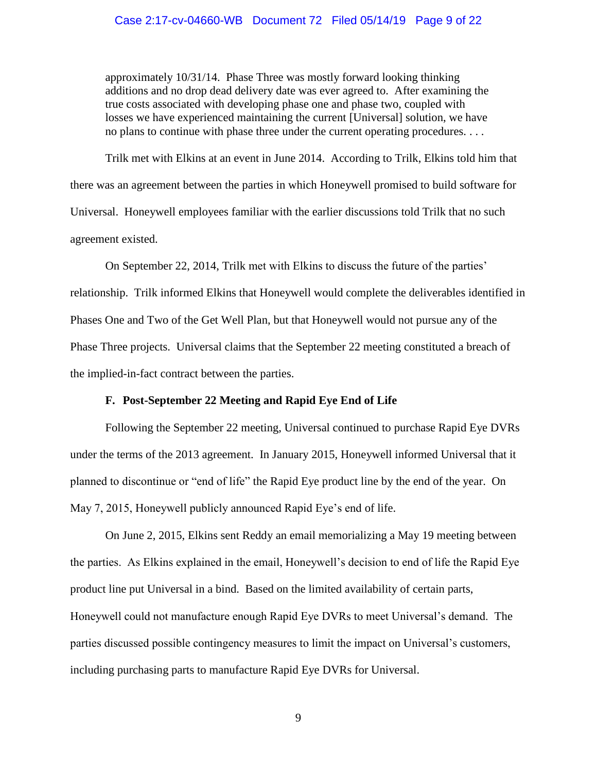## Case 2:17-cv-04660-WB Document 72 Filed 05/14/19 Page 9 of 22

approximately 10/31/14. Phase Three was mostly forward looking thinking additions and no drop dead delivery date was ever agreed to. After examining the true costs associated with developing phase one and phase two, coupled with losses we have experienced maintaining the current [Universal] solution, we have no plans to continue with phase three under the current operating procedures. . . .

Trilk met with Elkins at an event in June 2014. According to Trilk, Elkins told him that there was an agreement between the parties in which Honeywell promised to build software for Universal. Honeywell employees familiar with the earlier discussions told Trilk that no such agreement existed.

On September 22, 2014, Trilk met with Elkins to discuss the future of the parties' relationship. Trilk informed Elkins that Honeywell would complete the deliverables identified in Phases One and Two of the Get Well Plan, but that Honeywell would not pursue any of the Phase Three projects. Universal claims that the September 22 meeting constituted a breach of the implied-in-fact contract between the parties.

## **F. Post-September 22 Meeting and Rapid Eye End of Life**

Following the September 22 meeting, Universal continued to purchase Rapid Eye DVRs under the terms of the 2013 agreement. In January 2015, Honeywell informed Universal that it planned to discontinue or "end of life" the Rapid Eye product line by the end of the year. On May 7, 2015, Honeywell publicly announced Rapid Eye's end of life.

On June 2, 2015, Elkins sent Reddy an email memorializing a May 19 meeting between the parties. As Elkins explained in the email, Honeywell's decision to end of life the Rapid Eye product line put Universal in a bind. Based on the limited availability of certain parts, Honeywell could not manufacture enough Rapid Eye DVRs to meet Universal's demand. The parties discussed possible contingency measures to limit the impact on Universal's customers, including purchasing parts to manufacture Rapid Eye DVRs for Universal.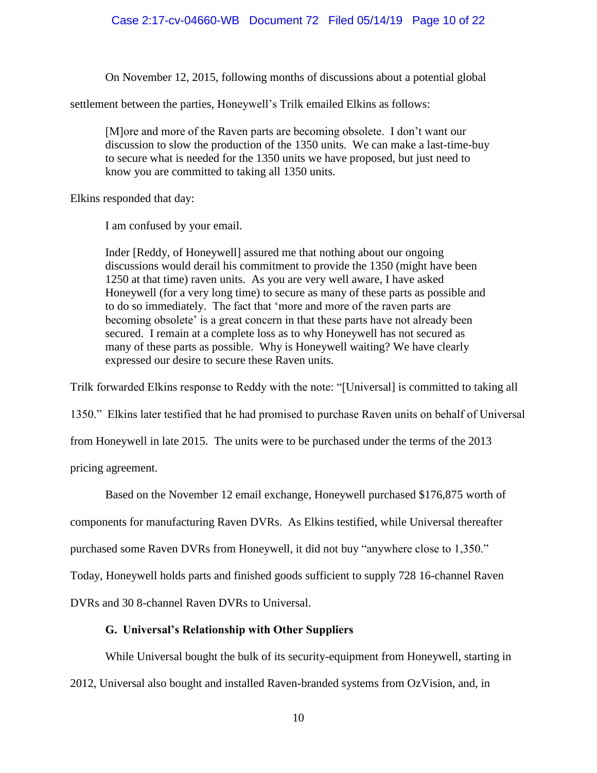On November 12, 2015, following months of discussions about a potential global

settlement between the parties, Honeywell's Trilk emailed Elkins as follows:

[M]ore and more of the Raven parts are becoming obsolete. I don't want our discussion to slow the production of the 1350 units. We can make a last-time-buy to secure what is needed for the 1350 units we have proposed, but just need to know you are committed to taking all 1350 units.

Elkins responded that day:

I am confused by your email.

Inder [Reddy, of Honeywell] assured me that nothing about our ongoing discussions would derail his commitment to provide the 1350 (might have been 1250 at that time) raven units. As you are very well aware, I have asked Honeywell (for a very long time) to secure as many of these parts as possible and to do so immediately. The fact that 'more and more of the raven parts are becoming obsolete' is a great concern in that these parts have not already been secured. I remain at a complete loss as to why Honeywell has not secured as many of these parts as possible. Why is Honeywell waiting? We have clearly expressed our desire to secure these Raven units.

Trilk forwarded Elkins response to Reddy with the note: "[Universal] is committed to taking all

1350." Elkins later testified that he had promised to purchase Raven units on behalf of Universal

from Honeywell in late 2015. The units were to be purchased under the terms of the 2013

pricing agreement.

Based on the November 12 email exchange, Honeywell purchased \$176,875 worth of

components for manufacturing Raven DVRs. As Elkins testified, while Universal thereafter

purchased some Raven DVRs from Honeywell, it did not buy "anywhere close to 1,350."

Today, Honeywell holds parts and finished goods sufficient to supply 728 16-channel Raven

DVRs and 30 8-channel Raven DVRs to Universal.

## **G. Universal's Relationship with Other Suppliers**

While Universal bought the bulk of its security-equipment from Honeywell, starting in

2012, Universal also bought and installed Raven-branded systems from OzVision, and, in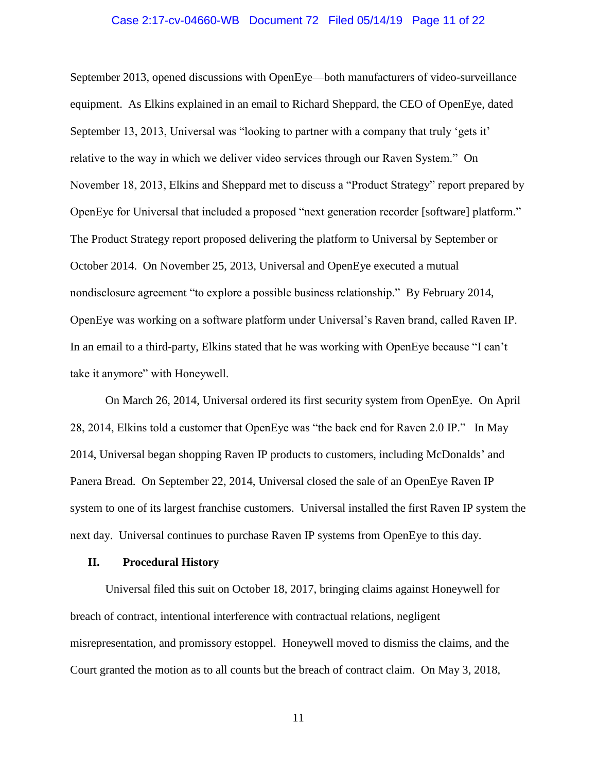## Case 2:17-cv-04660-WB Document 72 Filed 05/14/19 Page 11 of 22

September 2013, opened discussions with OpenEye—both manufacturers of video-surveillance equipment. As Elkins explained in an email to Richard Sheppard, the CEO of OpenEye, dated September 13, 2013, Universal was "looking to partner with a company that truly 'gets it' relative to the way in which we deliver video services through our Raven System." On November 18, 2013, Elkins and Sheppard met to discuss a "Product Strategy" report prepared by OpenEye for Universal that included a proposed "next generation recorder [software] platform." The Product Strategy report proposed delivering the platform to Universal by September or October 2014. On November 25, 2013, Universal and OpenEye executed a mutual nondisclosure agreement "to explore a possible business relationship." By February 2014, OpenEye was working on a software platform under Universal's Raven brand, called Raven IP. In an email to a third-party, Elkins stated that he was working with OpenEye because "I can't take it anymore" with Honeywell.

On March 26, 2014, Universal ordered its first security system from OpenEye. On April 28, 2014, Elkins told a customer that OpenEye was "the back end for Raven 2.0 IP." In May 2014, Universal began shopping Raven IP products to customers, including McDonalds' and Panera Bread. On September 22, 2014, Universal closed the sale of an OpenEye Raven IP system to one of its largest franchise customers. Universal installed the first Raven IP system the next day. Universal continues to purchase Raven IP systems from OpenEye to this day.

#### **II. Procedural History**

Universal filed this suit on October 18, 2017, bringing claims against Honeywell for breach of contract, intentional interference with contractual relations, negligent misrepresentation, and promissory estoppel. Honeywell moved to dismiss the claims, and the Court granted the motion as to all counts but the breach of contract claim. On May 3, 2018,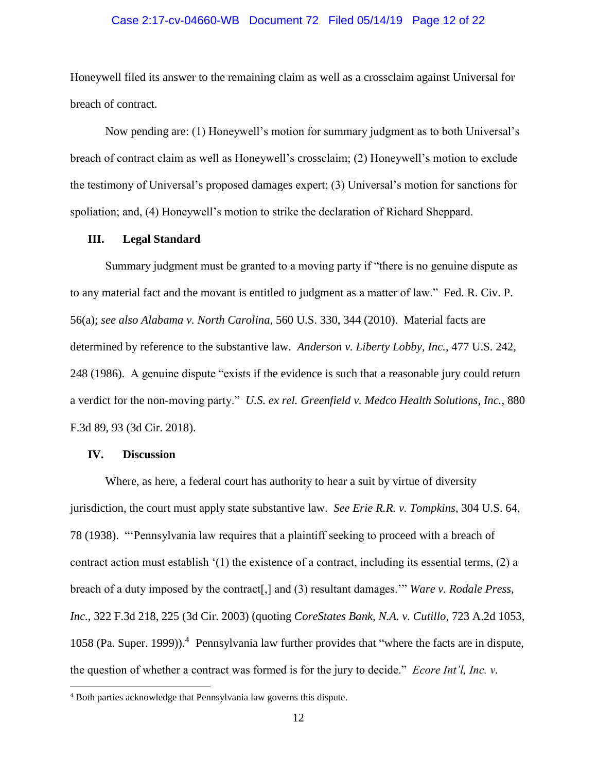## Case 2:17-cv-04660-WB Document 72 Filed 05/14/19 Page 12 of 22

Honeywell filed its answer to the remaining claim as well as a crossclaim against Universal for breach of contract.

Now pending are: (1) Honeywell's motion for summary judgment as to both Universal's breach of contract claim as well as Honeywell's crossclaim; (2) Honeywell's motion to exclude the testimony of Universal's proposed damages expert; (3) Universal's motion for sanctions for spoliation; and, (4) Honeywell's motion to strike the declaration of Richard Sheppard.

#### **III. Legal Standard**

Summary judgment must be granted to a moving party if "there is no genuine dispute as to any material fact and the movant is entitled to judgment as a matter of law." Fed. R. Civ. P. 56(a); *see also Alabama v. North Carolina*, 560 U.S. 330, 344 (2010). Material facts are determined by reference to the substantive law. *Anderson v. Liberty Lobby, Inc.*, 477 U.S. 242, 248 (1986). A genuine dispute "exists if the evidence is such that a reasonable jury could return a verdict for the non-moving party." *U.S. ex rel. Greenfield v. Medco Health Solutions, Inc.*, 880 F.3d 89, 93 (3d Cir. 2018).

#### **IV. Discussion**

 $\overline{a}$ 

Where, as here, a federal court has authority to hear a suit by virtue of diversity jurisdiction, the court must apply state substantive law. *See Erie R.R. v. Tompkins*, 304 U.S. 64, 78 (1938). "'Pennsylvania law requires that a plaintiff seeking to proceed with a breach of contract action must establish '(1) the existence of a contract, including its essential terms, (2) a breach of a duty imposed by the contract[,] and (3) resultant damages.'" *Ware v. Rodale Press, Inc.*, 322 F.3d 218, 225 (3d Cir. 2003) (quoting *CoreStates Bank, N.A. v. Cutillo,* 723 A.2d 1053, 1058 (Pa. Super. 1999)).<sup>4</sup> Pennsylvania law further provides that "where the facts are in dispute, the question of whether a contract was formed is for the jury to decide." *Ecore Int'l, Inc. v.* 

<sup>4</sup> Both parties acknowledge that Pennsylvania law governs this dispute.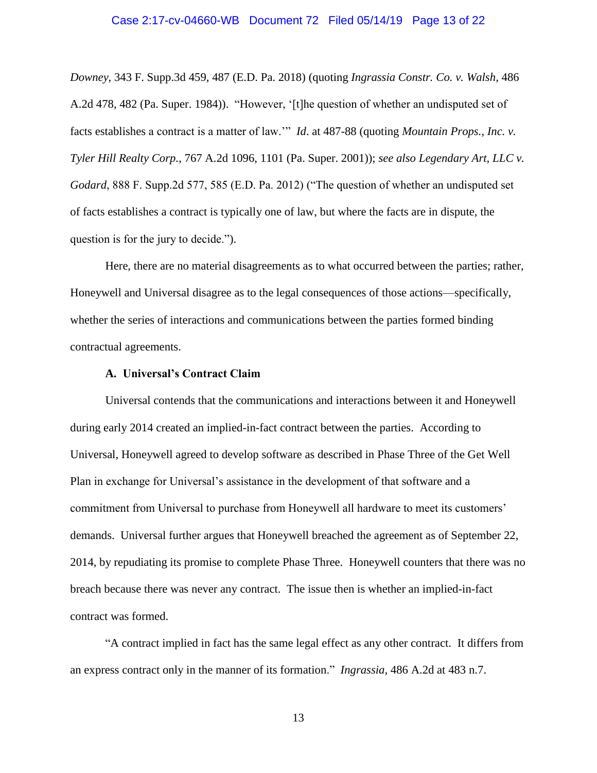# Case 2:17-cv-04660-WB Document 72 Filed 05/14/19 Page 13 of 22

*Downey*, 343 F. Supp.3d 459, 487 (E.D. Pa. 2018) (quoting *Ingrassia Constr. Co. v. Walsh*, 486 A.2d 478, 482 (Pa. Super. 1984)). "However, '[t]he question of whether an undisputed set of facts establishes a contract is a matter of law.'" *Id*. at 487-88 (quoting *Mountain Props., Inc. v. Tyler Hill Realty Corp.*, 767 A.2d 1096, 1101 (Pa. Super. 2001)); *see also Legendary Art, LLC v. Godard*, 888 F. Supp.2d 577, 585 (E.D. Pa. 2012) ("The question of whether an undisputed set of facts establishes a contract is typically one of law, but where the facts are in dispute, the question is for the jury to decide.").

Here, there are no material disagreements as to what occurred between the parties; rather, Honeywell and Universal disagree as to the legal consequences of those actions—specifically, whether the series of interactions and communications between the parties formed binding contractual agreements.

## **A. Universal's Contract Claim**

Universal contends that the communications and interactions between it and Honeywell during early 2014 created an implied-in-fact contract between the parties. According to Universal, Honeywell agreed to develop software as described in Phase Three of the Get Well Plan in exchange for Universal's assistance in the development of that software and a commitment from Universal to purchase from Honeywell all hardware to meet its customers' demands. Universal further argues that Honeywell breached the agreement as of September 22, 2014, by repudiating its promise to complete Phase Three. Honeywell counters that there was no breach because there was never any contract. The issue then is whether an implied-in-fact contract was formed.

"A contract implied in fact has the same legal effect as any other contract. It differs from an express contract only in the manner of its formation." *Ingrassia*, 486 A.2d at 483 n.7.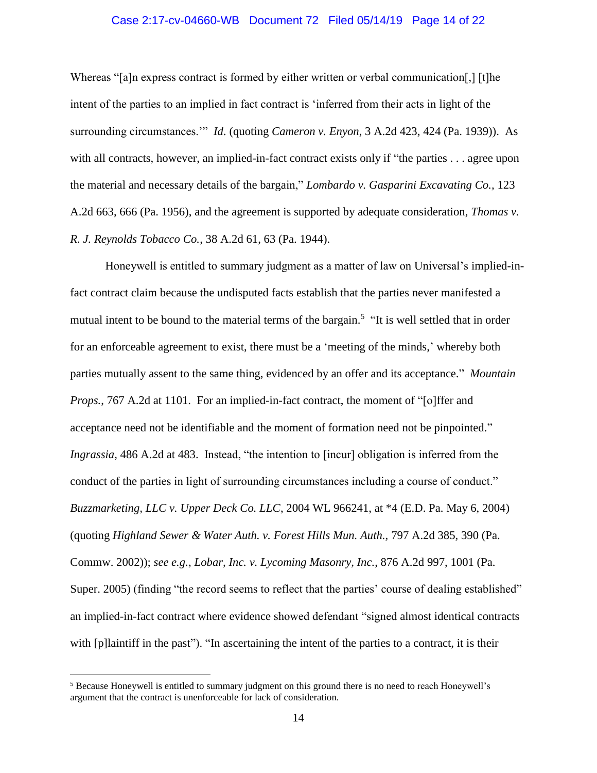## Case 2:17-cv-04660-WB Document 72 Filed 05/14/19 Page 14 of 22

Whereas "[a]n express contract is formed by either written or verbal communication.] [t]he intent of the parties to an implied in fact contract is 'inferred from their acts in light of the surrounding circumstances.'" *Id*. (quoting *Cameron v. Enyon*, 3 A.2d 423, 424 (Pa. 1939)). As with all contracts, however, an implied-in-fact contract exists only if "the parties . . . agree upon the material and necessary details of the bargain," *Lombardo v. Gasparini Excavating Co.,* 123 A.2d 663, 666 (Pa. 1956), and the agreement is supported by adequate consideration, *Thomas v. R. J. Reynolds Tobacco Co.*, 38 A.2d 61, 63 (Pa. 1944).

Honeywell is entitled to summary judgment as a matter of law on Universal's implied-infact contract claim because the undisputed facts establish that the parties never manifested a mutual intent to be bound to the material terms of the bargain.<sup>5</sup> "It is well settled that in order for an enforceable agreement to exist, there must be a 'meeting of the minds,' whereby both parties mutually assent to the same thing, evidenced by an offer and its acceptance." *Mountain Props.*, 767 A.2d at 1101. For an implied-in-fact contract, the moment of "[o]ffer and acceptance need not be identifiable and the moment of formation need not be pinpointed." *Ingrassia*, 486 A.2d at 483. Instead, "the intention to [incur] obligation is inferred from the conduct of the parties in light of surrounding circumstances including a course of conduct." *Buzzmarketing, LLC v. Upper Deck Co. LLC*, 2004 WL 966241, at \*4 (E.D. Pa. May 6, 2004) (quoting *Highland Sewer & Water Auth. v. Forest Hills Mun. Auth.,* 797 A.2d 385, 390 (Pa. Commw. 2002)); *see e.g.*, *Lobar, Inc. v. Lycoming Masonry, Inc.*, 876 A.2d 997, 1001 (Pa. Super. 2005) (finding "the record seems to reflect that the parties' course of dealing established" an implied-in-fact contract where evidence showed defendant "signed almost identical contracts with [p]laintiff in the past"). "In ascertaining the intent of the parties to a contract, it is their

 $\overline{a}$ 

<sup>5</sup> Because Honeywell is entitled to summary judgment on this ground there is no need to reach Honeywell's argument that the contract is unenforceable for lack of consideration.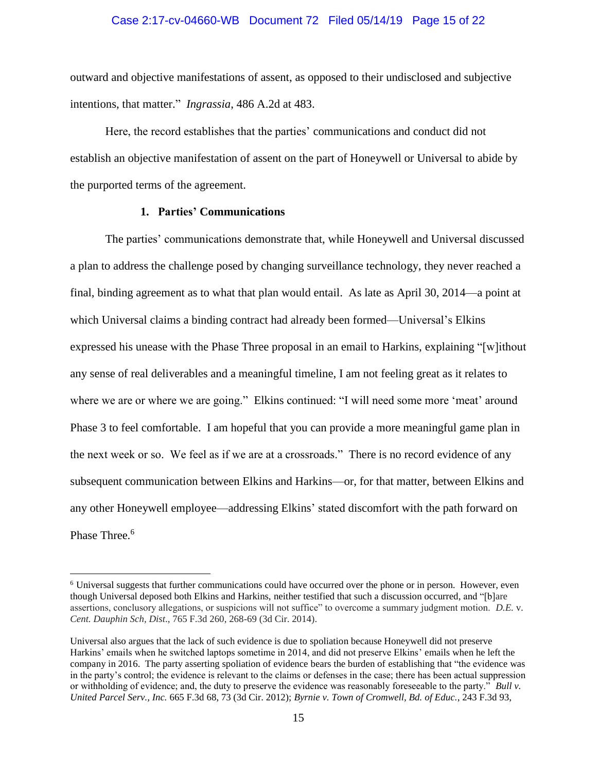## Case 2:17-cv-04660-WB Document 72 Filed 05/14/19 Page 15 of 22

outward and objective manifestations of assent, as opposed to their undisclosed and subjective intentions, that matter." *Ingrassia*, 486 A.2d at 483.

Here, the record establishes that the parties' communications and conduct did not establish an objective manifestation of assent on the part of Honeywell or Universal to abide by the purported terms of the agreement.

## **1. Parties' Communications**

 $\overline{a}$ 

The parties' communications demonstrate that, while Honeywell and Universal discussed a plan to address the challenge posed by changing surveillance technology, they never reached a final, binding agreement as to what that plan would entail. As late as April 30, 2014—a point at which Universal claims a binding contract had already been formed—Universal's Elkins expressed his unease with the Phase Three proposal in an email to Harkins, explaining "[w]ithout any sense of real deliverables and a meaningful timeline, I am not feeling great as it relates to where we are or where we are going." Elkins continued: "I will need some more 'meat' around Phase 3 to feel comfortable. I am hopeful that you can provide a more meaningful game plan in the next week or so. We feel as if we are at a crossroads." There is no record evidence of any subsequent communication between Elkins and Harkins—or, for that matter, between Elkins and any other Honeywell employee—addressing Elkins' stated discomfort with the path forward on Phase Three.<sup>6</sup>

<sup>6</sup> Universal suggests that further communications could have occurred over the phone or in person. However, even though Universal deposed both Elkins and Harkins, neither testified that such a discussion occurred, and "[b]are assertions, conclusory allegations, or suspicions will not suffice" to overcome a summary judgment motion. *D.E.* v. *Cent. Dauphin Sch, Dist*., 765 F.3d 260, 268-69 (3d Cir. 2014).

Universal also argues that the lack of such evidence is due to spoliation because Honeywell did not preserve Harkins' emails when he switched laptops sometime in 2014, and did not preserve Elkins' emails when he left the company in 2016. The party asserting spoliation of evidence bears the burden of establishing that "the evidence was in the party's control; the evidence is relevant to the claims or defenses in the case; there has been actual suppression or withholding of evidence; and, the duty to preserve the evidence was reasonably foreseeable to the party." *Bull v. United Parcel Serv., Inc.* 665 F.3d 68, 73 (3d Cir. 2012); *Byrnie v. Town of Cromwell, Bd. of Educ.*, 243 F.3d 93,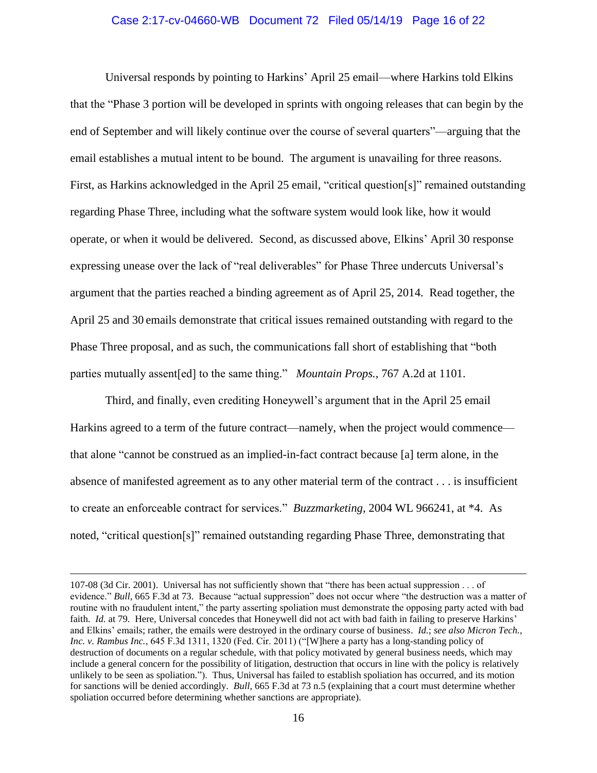## Case 2:17-cv-04660-WB Document 72 Filed 05/14/19 Page 16 of 22

Universal responds by pointing to Harkins' April 25 email—where Harkins told Elkins that the "Phase 3 portion will be developed in sprints with ongoing releases that can begin by the end of September and will likely continue over the course of several quarters"—arguing that the email establishes a mutual intent to be bound. The argument is unavailing for three reasons. First, as Harkins acknowledged in the April 25 email, "critical question[s]" remained outstanding regarding Phase Three, including what the software system would look like, how it would operate, or when it would be delivered. Second, as discussed above, Elkins' April 30 response expressing unease over the lack of "real deliverables" for Phase Three undercuts Universal's argument that the parties reached a binding agreement as of April 25, 2014. Read together, the April 25 and 30 emails demonstrate that critical issues remained outstanding with regard to the Phase Three proposal, and as such, the communications fall short of establishing that "both parties mutually assent[ed] to the same thing." *Mountain Props.*, 767 A.2d at 1101.

Third, and finally, even crediting Honeywell's argument that in the April 25 email Harkins agreed to a term of the future contract—namely, when the project would commence that alone "cannot be construed as an implied-in-fact contract because [a] term alone, in the absence of manifested agreement as to any other material term of the contract . . . is insufficient to create an enforceable contract for services." *Buzzmarketing*, 2004 WL 966241, at \*4. As noted, "critical question[s]" remained outstanding regarding Phase Three, demonstrating that

 $\overline{a}$ 

<sup>107-08 (3</sup>d Cir. 2001). Universal has not sufficiently shown that "there has been actual suppression . . . of evidence." *Bull*, 665 F.3d at 73. Because "actual suppression" does not occur where "the destruction was a matter of routine with no fraudulent intent," the party asserting spoliation must demonstrate the opposing party acted with bad faith. *Id.* at 79. Here, Universal concedes that Honeywell did not act with bad faith in failing to preserve Harkins' and Elkins' emails; rather, the emails were destroyed in the ordinary course of business. *Id.*; *see also Micron Tech., Inc. v. Rambus Inc.*, 645 F.3d 1311, 1320 (Fed. Cir. 2011) ("[W]here a party has a long-standing policy of destruction of documents on a regular schedule, with that policy motivated by general business needs, which may include a general concern for the possibility of litigation, destruction that occurs in line with the policy is relatively unlikely to be seen as spoliation."). Thus, Universal has failed to establish spoliation has occurred, and its motion for sanctions will be denied accordingly. *Bull*, 665 F.3d at 73 n.5 (explaining that a court must determine whether spoliation occurred before determining whether sanctions are appropriate).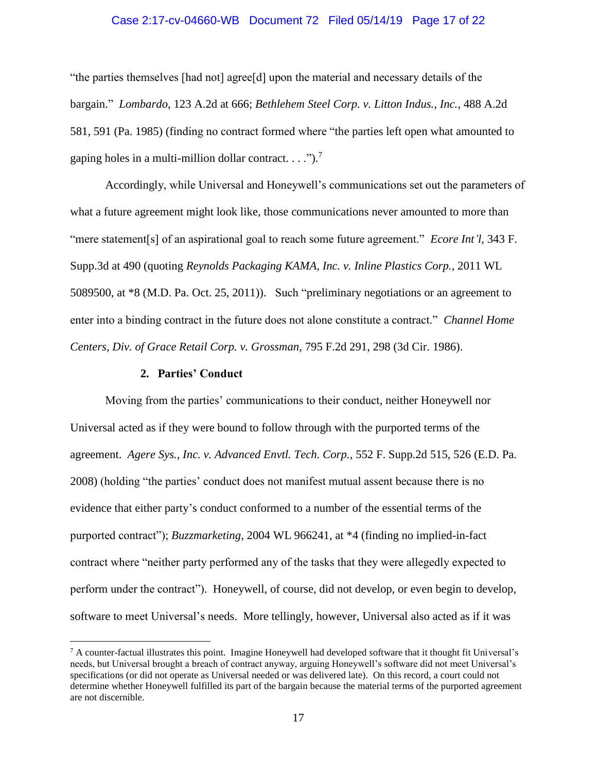## Case 2:17-cv-04660-WB Document 72 Filed 05/14/19 Page 17 of 22

"the parties themselves [had not] agree[d] upon the material and necessary details of the bargain." *Lombardo*, 123 A.2d at 666; *Bethlehem Steel Corp. v. Litton Indus., Inc.*, 488 A.2d 581, 591 (Pa. 1985) (finding no contract formed where "the parties left open what amounted to gaping holes in a multi-million dollar contract. . . .").<sup>7</sup>

Accordingly, while Universal and Honeywell's communications set out the parameters of what a future agreement might look like, those communications never amounted to more than "mere statement[s] of an aspirational goal to reach some future agreement." *Ecore Int'l*, 343 F. Supp.3d at 490 (quoting *Reynolds Packaging KAMA, Inc. v. Inline Plastics Corp.*, 2011 WL 5089500, at \*8 (M.D. Pa. Oct. 25, 2011)). Such "preliminary negotiations or an agreement to enter into a binding contract in the future does not alone constitute a contract." *Channel Home Centers, Div. of Grace Retail Corp. v. Grossman*, 795 F.2d 291, 298 (3d Cir. 1986).

## **2. Parties' Conduct**

 $\overline{a}$ 

Moving from the parties' communications to their conduct, neither Honeywell nor Universal acted as if they were bound to follow through with the purported terms of the agreement. *Agere Sys., Inc. v. Advanced Envtl. Tech. Corp.*, 552 F. Supp.2d 515, 526 (E.D. Pa. 2008) (holding "the parties' conduct does not manifest mutual assent because there is no evidence that either party's conduct conformed to a number of the essential terms of the purported contract"); *Buzzmarketing*, 2004 WL 966241, at \*4 (finding no implied-in-fact contract where "neither party performed any of the tasks that they were allegedly expected to perform under the contract"). Honeywell, of course, did not develop, or even begin to develop, software to meet Universal's needs. More tellingly, however, Universal also acted as if it was

<sup>7</sup> A counter-factual illustrates this point. Imagine Honeywell had developed software that it thought fit Universal's needs, but Universal brought a breach of contract anyway, arguing Honeywell's software did not meet Universal's specifications (or did not operate as Universal needed or was delivered late). On this record, a court could not determine whether Honeywell fulfilled its part of the bargain because the material terms of the purported agreement are not discernible.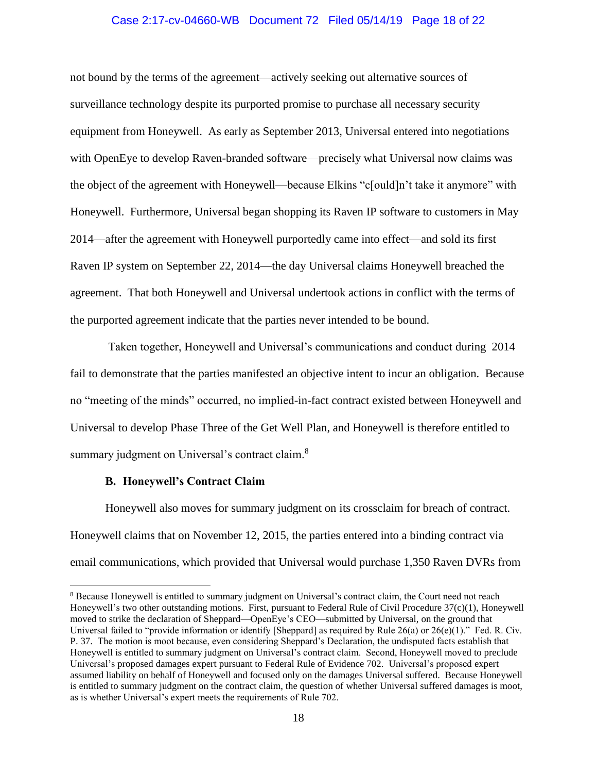## Case 2:17-cv-04660-WB Document 72 Filed 05/14/19 Page 18 of 22

not bound by the terms of the agreement—actively seeking out alternative sources of surveillance technology despite its purported promise to purchase all necessary security equipment from Honeywell. As early as September 2013, Universal entered into negotiations with OpenEye to develop Raven-branded software—precisely what Universal now claims was the object of the agreement with Honeywell—because Elkins "c[ould]n't take it anymore" with Honeywell. Furthermore, Universal began shopping its Raven IP software to customers in May 2014—after the agreement with Honeywell purportedly came into effect—and sold its first Raven IP system on September 22, 2014—the day Universal claims Honeywell breached the agreement. That both Honeywell and Universal undertook actions in conflict with the terms of the purported agreement indicate that the parties never intended to be bound.

Taken together, Honeywell and Universal's communications and conduct during 2014 fail to demonstrate that the parties manifested an objective intent to incur an obligation. Because no "meeting of the minds" occurred, no implied-in-fact contract existed between Honeywell and Universal to develop Phase Three of the Get Well Plan, and Honeywell is therefore entitled to summary judgment on Universal's contract claim.<sup>8</sup>

#### **B. Honeywell's Contract Claim**

 $\overline{a}$ 

Honeywell also moves for summary judgment on its crossclaim for breach of contract. Honeywell claims that on November 12, 2015, the parties entered into a binding contract via email communications, which provided that Universal would purchase 1,350 Raven DVRs from

<sup>&</sup>lt;sup>8</sup> Because Honeywell is entitled to summary judgment on Universal's contract claim, the Court need not reach Honeywell's two other outstanding motions. First, pursuant to Federal Rule of Civil Procedure 37(c)(1), Honeywell moved to strike the declaration of Sheppard—OpenEye's CEO—submitted by Universal, on the ground that Universal failed to "provide information or identify [Sheppard] as required by Rule 26(a) or  $26(e)(1)$ ." Fed. R. Civ. P. 37. The motion is moot because, even considering Sheppard's Declaration, the undisputed facts establish that Honeywell is entitled to summary judgment on Universal's contract claim. Second, Honeywell moved to preclude Universal's proposed damages expert pursuant to Federal Rule of Evidence 702. Universal's proposed expert assumed liability on behalf of Honeywell and focused only on the damages Universal suffered. Because Honeywell is entitled to summary judgment on the contract claim, the question of whether Universal suffered damages is moot, as is whether Universal's expert meets the requirements of Rule 702.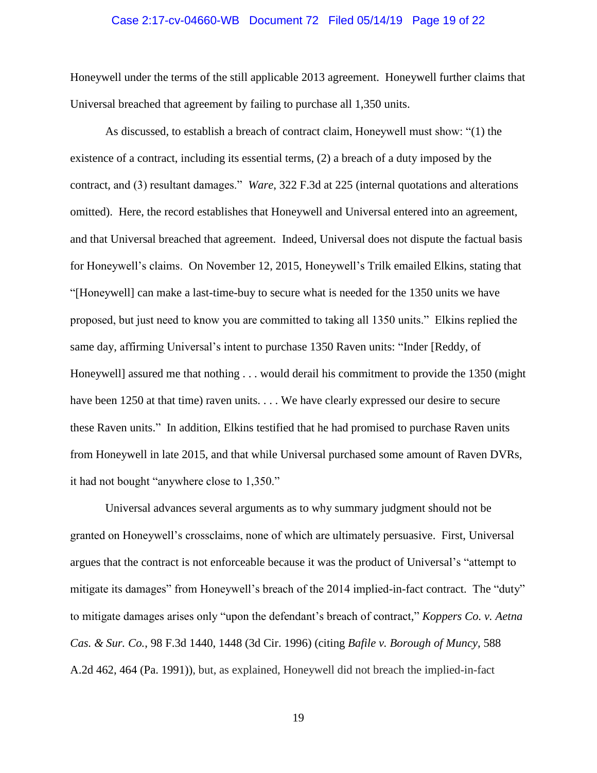## Case 2:17-cv-04660-WB Document 72 Filed 05/14/19 Page 19 of 22

Honeywell under the terms of the still applicable 2013 agreement. Honeywell further claims that Universal breached that agreement by failing to purchase all 1,350 units.

As discussed, to establish a breach of contract claim, Honeywell must show: "(1) the existence of a contract, including its essential terms, (2) a breach of a duty imposed by the contract, and (3) resultant damages." *Ware*, 322 F.3d at 225 (internal quotations and alterations omitted). Here, the record establishes that Honeywell and Universal entered into an agreement, and that Universal breached that agreement. Indeed, Universal does not dispute the factual basis for Honeywell's claims. On November 12, 2015, Honeywell's Trilk emailed Elkins, stating that "[Honeywell] can make a last-time-buy to secure what is needed for the 1350 units we have proposed, but just need to know you are committed to taking all 1350 units." Elkins replied the same day, affirming Universal's intent to purchase 1350 Raven units: "Inder [Reddy, of Honeywell] assured me that nothing . . . would derail his commitment to provide the 1350 (might have been 1250 at that time) raven units. . . . We have clearly expressed our desire to secure these Raven units." In addition, Elkins testified that he had promised to purchase Raven units from Honeywell in late 2015, and that while Universal purchased some amount of Raven DVRs, it had not bought "anywhere close to 1,350."

Universal advances several arguments as to why summary judgment should not be granted on Honeywell's crossclaims, none of which are ultimately persuasive. First, Universal argues that the contract is not enforceable because it was the product of Universal's "attempt to mitigate its damages" from Honeywell's breach of the 2014 implied-in-fact contract. The "duty" to mitigate damages arises only "upon the defendant's breach of contract," *Koppers Co. v. Aetna Cas. & Sur. Co.*, 98 F.3d 1440, 1448 (3d Cir. 1996) (citing *Bafile v. Borough of Muncy,* 588 A.2d 462, 464 (Pa. 1991)), but, as explained, Honeywell did not breach the implied-in-fact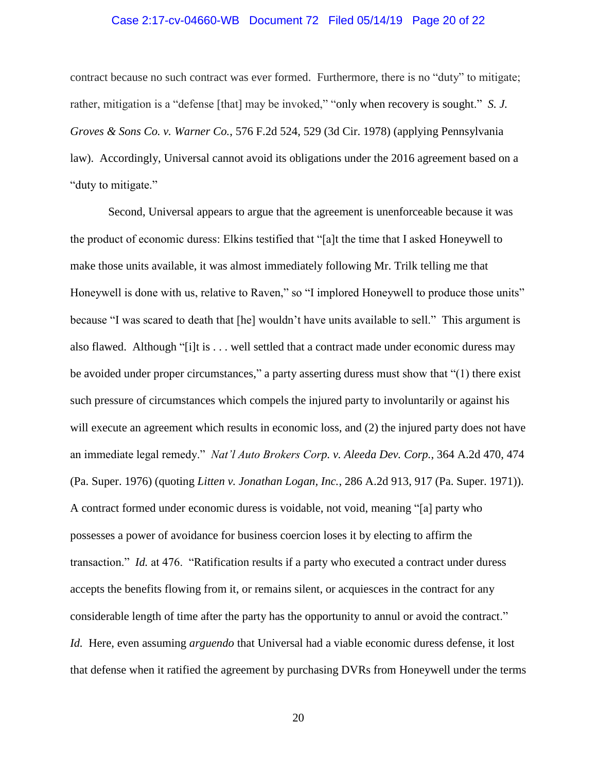## Case 2:17-cv-04660-WB Document 72 Filed 05/14/19 Page 20 of 22

contract because no such contract was ever formed. Furthermore, there is no "duty" to mitigate; rather, mitigation is a "defense [that] may be invoked," "only when recovery is sought." *S. J. Groves & Sons Co. v. Warner Co.*, 576 F.2d 524, 529 (3d Cir. 1978) (applying Pennsylvania law). Accordingly, Universal cannot avoid its obligations under the 2016 agreement based on a "duty to mitigate."

Second, Universal appears to argue that the agreement is unenforceable because it was the product of economic duress: Elkins testified that "[a]t the time that I asked Honeywell to make those units available, it was almost immediately following Mr. Trilk telling me that Honeywell is done with us, relative to Raven," so "I implored Honeywell to produce those units" because "I was scared to death that [he] wouldn't have units available to sell." This argument is also flawed. Although "[i]t is . . . well settled that a contract made under economic duress may be avoided under proper circumstances," a party asserting duress must show that "(1) there exist such pressure of circumstances which compels the injured party to involuntarily or against his will execute an agreement which results in economic loss, and (2) the injured party does not have an immediate legal remedy." *Nat'l Auto Brokers Corp. v. Aleeda Dev. Corp.*, 364 A.2d 470, 474 (Pa. Super. 1976) (quoting *Litten v. Jonathan Logan, Inc.*, 286 A.2d 913, 917 (Pa. Super. 1971)). A contract formed under economic duress is voidable, not void, meaning "[a] party who possesses a power of avoidance for business coercion loses it by electing to affirm the transaction." *Id.* at 476. "Ratification results if a party who executed a contract under duress accepts the benefits flowing from it, or remains silent, or acquiesces in the contract for any considerable length of time after the party has the opportunity to annul or avoid the contract." *Id.* Here, even assuming *arguendo* that Universal had a viable economic duress defense, it lost that defense when it ratified the agreement by purchasing DVRs from Honeywell under the terms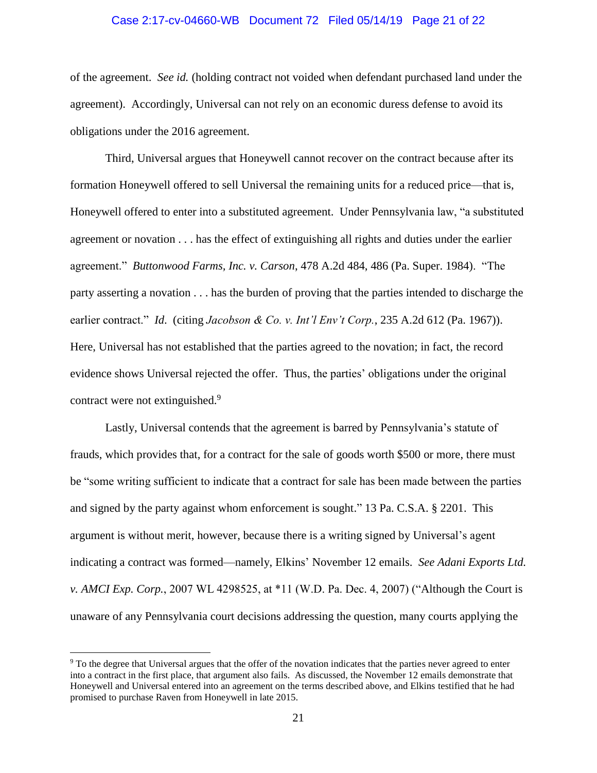#### Case 2:17-cv-04660-WB Document 72 Filed 05/14/19 Page 21 of 22

of the agreement. *See id.* (holding contract not voided when defendant purchased land under the agreement). Accordingly, Universal can not rely on an economic duress defense to avoid its obligations under the 2016 agreement.

Third, Universal argues that Honeywell cannot recover on the contract because after its formation Honeywell offered to sell Universal the remaining units for a reduced price—that is, Honeywell offered to enter into a substituted agreement. Under Pennsylvania law, "a substituted agreement or novation . . . has the effect of extinguishing all rights and duties under the earlier agreement." *Buttonwood Farms, Inc. v. Carson*, 478 A.2d 484, 486 (Pa. Super. 1984). "The party asserting a novation . . . has the burden of proving that the parties intended to discharge the earlier contract." *Id*. (citing *Jacobson & Co. v. Int'l Env't Corp.*, 235 A.2d 612 (Pa. 1967)). Here, Universal has not established that the parties agreed to the novation; in fact, the record evidence shows Universal rejected the offer. Thus, the parties' obligations under the original contract were not extinguished.<sup>9</sup>

Lastly, Universal contends that the agreement is barred by Pennsylvania's statute of frauds, which provides that, for a contract for the sale of goods worth \$500 or more, there must be "some writing sufficient to indicate that a contract for sale has been made between the parties and signed by the party against whom enforcement is sought." 13 Pa. C.S.A. § 2201. This argument is without merit, however, because there is a writing signed by Universal's agent indicating a contract was formed—namely, Elkins' November 12 emails. *See Adani Exports Ltd. v. AMCI Exp. Corp.*, 2007 WL 4298525, at \*11 (W.D. Pa. Dec. 4, 2007) ("Although the Court is unaware of any Pennsylvania court decisions addressing the question, many courts applying the

 $\overline{a}$ 

<sup>&</sup>lt;sup>9</sup> To the degree that Universal argues that the offer of the novation indicates that the parties never agreed to enter into a contract in the first place, that argument also fails. As discussed, the November 12 emails demonstrate that Honeywell and Universal entered into an agreement on the terms described above, and Elkins testified that he had promised to purchase Raven from Honeywell in late 2015.